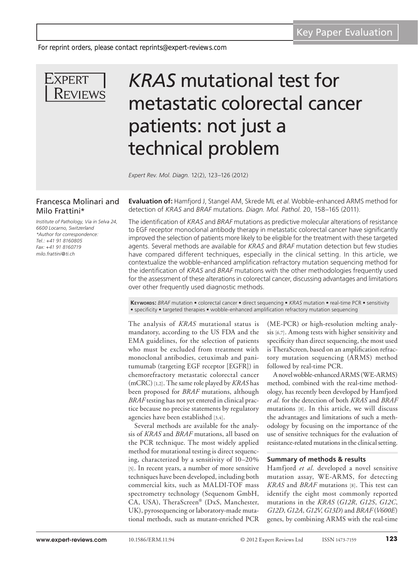*For reprint orders, please contact reprints@expert-reviews.com*



# *KRAS* mutational test for metastatic colorectal cancer patients: not just a technical problem

*Expert Rev. Mol. Diagn.* 12(2), 123–126 (2012)

## Francesca Molinari and Milo Frattini\*

*Institute of Pathology, Via in Selva 24, 6600 Locarno, Switzerland \*Author for correspondence: Tel.: +41 91 8160805 Fax: +41 91 8160719 milo.frattini@ti.ch*

**Evaluation of:** Hamfjord J, Stangel AM, Skrede ML *et al*. Wobble-enhanced ARMS method for detection of *KRAS* and *BRAF* mutations. *Diagn. Mol. Pathol.* 20, 158–165 (2011).

The identification of *KRAS* and *BRAF* mutations as predictive molecular alterations of resistance to EGF receptor monoclonal antibody therapy in metastatic colorectal cancer have significantly improved the selection of patients more likely to be eligible for the treatment with these targeted agents. Several methods are available for *KRAS* and *BRAF* mutation detection but few studies have compared different techniques, especially in the clinical setting. In this article, we contextualize the wobble-enhanced amplification refractory mutation sequencing method for the identification of *KRAS* and *BRAF* mutations with the other methodologies frequently used for the assessment of these alterations in colorectal cancer, discussing advantages and limitations over other frequently used diagnostic methods.

**Keywords:** *BRAF* mutation • colorectal cancer • direct sequencing • *KRAS* mutation • real-time PCR • sensitivity • specificity • targeted therapies • wobble-enhanced amplification refractory mutation sequencing

The analysis of *KRAS* mutational status is mandatory, according to the US FDA and the EMA guidelines, for the selection of patients who must be excluded from treatment with monoclonal antibodies, cetuximab and panitumumab (targeting EGF receptor [EGFR]) in chemorefractory metastatic colorectal cancer (mCRC) [1,2]. The same role played by *KRAS* has been proposed for *BRAF* mutations, although *BRAF* testing has not yet entered in clinical practice because no precise statements by regulatory agencies have been established [3,4].

Several methods are available for the analysis of *KRAS* and *BRAF* mutations, all based on the PCR technique. The most widely applied method for mutational testing is direct sequencing, characterized by a sensitivity of 10–20% [5]. In recent years, a number of more sensitive techniques have been developed, including both commercial kits, such as MALDI-TOF mass spectrometry technology (Sequenom GmbH, CA, USA), TheraScreen® (DxS, Manchester, UK), pyrosequencing or laboratory-made mutational methods, such as mutant-enriched PCR

(ME-PCR) or high-resolution melting analysis [6,7]. Among tests with higher sensitivity and specificity than direct sequencing, the most used is TheraScreen, based on an amplification refractory mutation sequencing (ARMS) method followed by real-time PCR.

A novel wobble-enhanced ARMS (WE-ARMS) method, combined with the real-time methodology, has recently been developed by Hamfjord *et al.* for the detection of both *KRAS* and *BRAF* mutations [8]. In this article, we will discuss the advantages and limitations of such a methodology by focusing on the importance of the use of sensitive techniques for the evaluation of resistance-related mutations in the clinical setting.

#### **Summary of methods & results**

Hamfjord *et al.* developed a novel sensitive mutation assay, WE-ARMS, for detecting *KRAS* and *BRAF* mutations [8]. This test can identify the eight most commonly reported mutations in the *KRAS* (*G12R*, *G12S*, *G12C*, *G12D*, *G12A*, *G12V*, *G13D*) and *BRAF* (*V600E*) genes, by combining ARMS with the real-time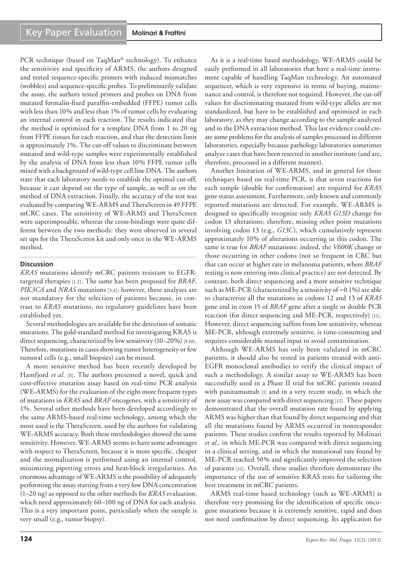PCR technique (based on TaqMan® technology). To enhance the sensitivity and specificity of ARMS, the authors designed and tested sequence-specific primers with induced mismatches (wobbles) and sequence-specific probes. To preliminarily validate the assay, the authors tested primers and probes on DNA from mutated formalin-fixed paraffin-embedded (FFPE) tumor cells with less than 10% and less than 1% of tumor cells by evaluating an internal control in each reaction. The results indicated that the method is optimized for a template DNA from 1 to 20 ng from FFPE tissues for each reaction, and that the detection limit is approximately 1%. The cut-off values to discriminate between mutated and wild-type samples were experimentally established by the analysis of DNA from less than 10% FFPE tumor cells mixed with a background of wild-type cell line DNA. The authors state that each laboratory needs to establish the optimal cut-off, because it can depend on the type of sample, as well as on the method of DNA extraction. Finally, the accuracy of the test was evaluated by comparing WE-ARMS and TheraScreenin 49 FFPE mCRC cases. The sensitivity of WE-ARMS and TheraScreen were superimposable, whereas the cross-bindings were quite different between the two methods: they were observed in several set ups for the TheraScreen kit and only once in the WE-ARMS method.

### **Discussion**

*KRAS* mutations identify mCRC patients resistant to EGFRtargeted therapies [1,2]. The same has been proposed for *BRAF*, *PIK3CA* and *NRAS* mutations [3,4]; however, these analyses are not mandatory for the selection of patients because, in contrast to *KRAS* mutations, no regulatory guidelines have been established yet.

Several methodologies are available for the detection of somatic mutations. The gold-standard method for investigating KRAS is direct sequencing, characterized by low sensitivity (10–20%) [9,10]. Therefore, mutations in cases showing tumor heterogeneity or few tumoral cells (e.g., small biopsies) can be missed.

A more sensitive method has been recently developed by Hamfjord *et al.* [8]. The authors presented a novel, quick and cost-effective mutation assay based on real-time PCR analysis (WE-ARMS) for the evaluation of the eight more frequent types of mutations in *KRAS* and *BRAF* oncogenes, with a sensitivity of 1%. Several other methods have been developed accordingly to the same ARMS-based real-time technology, among which the most used is the TheraScreen, used by the authors for validating WE-ARMS accuracy. Both these methodologies showed the same sensitivity. However, WE-ARMS seems to have some advantages with respect to TheraScreen, because it is more specific, cheaper and the normalization is performed using an internal control, minimizing pipetting errors and heat-block irregularities. An enormous advantage of WE-ARMS is the possibility of adequately performing the assay starting from a very low DNA concentration (1–20 ng) as opposed to the other methods for *KRAS* evaluation, which need approximately 60–100 ng of DNA for each analysis. This is a very important point, particularly when the sample is very small (e.g., tumor biopsy).

As it is a real-time based methodology, WE-ARMS could be easily performed in all laboratories that have a real-time instrument capable of handling TaqMan technology. An automated sequencer, which is very expensive in terms of buying, maintenance and control, is therefore not required. However, the cut-off values for discriminating mutated from wild-type alleles are not standardized, but have to be established and optimized in each laboratory, as they may change according to the sample analyzed and to the DNA extraction method. This last evidence could create some problems for the analysis of samples processed in different laboratories, especially because pathology laboratories sometimes analyze cases that have been resected in another institute (and are, therefore, processed in a different manner).

Another limitation of WE-ARMS, and in general for those techniques based on real-time PCR, is that seven reactions for each sample (double for confirmation) are required for *KRAS* gene status assessment. Furthermore, only known and commonly reported mutations are detected. For example, WE-ARMS is designed to specifically recognize only *KRAS G13D* change for codon 13 alterations; therefore, missing other point mutations involving codon 13 (e.g., *G13C*), which cumulatively represent approximately 10% of alterations occurring in this codon. The same is true for *BRAF* mutations: indeed, the *V600K* change or those occurring in other codons (not so frequent in CRC but that can occur at higher rate in melanoma patients, where *BRAF* testing is now entering into clinical practice) are not detected. By contrast, both direct sequencing and a more sensitive technique such as ME-PCR (characterized by a sensitivity of  $\sim 0.1\%$ ) are able to characterize all the mutations in codons 12 and 13 of *KRAS* gene and in exon 15 of *BRAF* gene after a single or double PCR reaction (for direct sequencing and ME-PCR, respectively) [11]. However, direct sequencing suffers from low sensitivity, whereas ME-PCR, although extremely sensitive, is time-consuming and requires considerable manual input to avoid contamination.

Although WE-ARMS has only been validated in mCRC patients, it should also be tested in patients treated with anti-EGFR monoclonal antibodies to verify the clinical impact of such a methodology. A similar assay to WE-ARMS has been successfully used in a Phase II trial for mCRC patients treated with panitumumab [1] and in a very recent study, in which the new assay was compared with direct sequencing [12]. These papers demonstrated that the overall mutation rate found by applying ARMS was higher than that found by direct sequencing and that all the mutations found by ARMS occurred in nonresponder patients. These studies confirm the results reported by Molinari *et al.,* in which ME-PCR was compared with direct sequencing in a clinical setting, and in which the mutational rate found by ME-PCR reached 50% and significantly improved the selection of patients [11]. Overall, these studies therefore demonstrate the importance of the use of sensitive KRAS tests for tailoring the best treatment in mCRC patients.

ARMS real-time based technology (such as WE-ARMS) is therefore very promising for the identification of specific oncogene mutations because it is extremely sensitive, rapid and does not need confirmation by direct sequencing. Its application for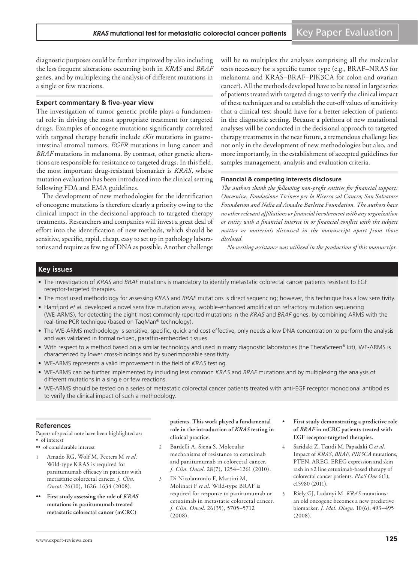diagnostic purposes could be further improved by also including the less frequent alterations occurring both in *KRAS* and *BRAF* genes, and by multiplexing the analysis of different mutations in a single or few reactions.

#### **Expert commentary & five-year view**

The investigation of tumor genetic profile plays a fundamental role in driving the most appropriate treatment for targeted drugs. Examples of oncogene mutations significantly correlated with targeted therapy benefit include *cKit* mutations in gastrointestinal stromal tumors, *EGFR* mutations in lung cancer and *BRAF* mutations in melanoma. By contrast, other genetic alterations are responsible for resistance to targeted drugs. In this field, the most important drug-resistant biomarker is *KRAS*, whose mutation evaluation has been introduced into the clinical setting following FDA and EMA guidelines.

The development of new methodologies for the identification of oncogene mutations is therefore clearly a priority owing to the clinical impact in the decisional approach to targeted therapy treatments. Researchers and companies will invest a great deal of effort into the identification of new methods, which should be sensitive, specific, rapid, cheap, easy to set up in pathology laboratories and require as few ng of DNA as possible. Another challenge will be to multiplex the analyses comprising all the molecular tests necessary for a specific tumor type (e.g., BRAF–NRAS for melanoma and KRAS–BRAF–PIK3CA for colon and ovarian cancer). All the methods developed have to be tested in large series of patients treated with targeted drugs to verify the clinical impact of these techniques and to establish the cut-off values of sensitivity that a clinical test should have for a better selection of patients in the diagnostic setting. Because a plethora of new mutational analyses will be conducted in the decisional approach to targeted therapy treatments in the near future, a tremendous challenge lies not only in the development of new methodologies but also, and more importantly, in the establishment of accepted guidelines for samples management, analysis and evaluation criteria.

#### **Financial & competing interests disclosure**

*The authors thank the following non-profit entities for financial support: Oncosuisse, Fondazione Ticinese per la Ricerca sul Cancro, San Salvatore Foundation and Nelia ed Amadeo Barletta Foundation. The authors have no other relevant affiliations or financial involvement with any organization or entity with a financial interest in or financial conflict with the subject matter or materials discussed in the manuscript apart from those disclosed.*

*No writing assistance was utilized in the production of this manuscript.*

#### **Key issues**

- The investigation of *KRAS* and *BRAF* mutations is mandatory to identify metastatic colorectal cancer patients resistant to EGF receptor-targeted therapies.
- The most used methodology for assessing *KRAS* and *BRAF* mutations is direct sequencing; however, this technique has a low sensitivity.
- Hamfjord *et al.* developed a novel sensitive mutation assay, wobble-enhanced amplification refractory mutation sequencing (WE-ARMS), for detecting the eight most commonly reported mutations in the *KRAS* and *BRAF* genes, by combining ARMS with the real-time PCR technique (based on TaqMan® technology).
- The WE-ARMS methodology is sensitive, specific, quick and cost effective, only needs a low DNA concentration to perform the analysis and was validated in formalin-fixed, paraffin-embedded tissues.
- With respect to a method based on a similar technology and used in many diagnostic laboratories (the TheraScreen® kit), WE-ARMS is characterized by lower cross-bindings and by superimposable sensitivity.
- WE-ARMS represents a valid improvement in the field of *KRAS* testing.
- WE-ARMS can be further implemented by including less common *KRAS* and *BRAF* mutations and by multiplexing the analysis of different mutations in a single or few reactions.
- WE-ARMS should be tested on a series of metastatic colorectal cancer patients treated with anti-EGF receptor monoclonal antibodies to verify the clinical impact of such a methodology.

#### **References**

Papers of special note have been highlighted as: • of interest

•• of considerable interest

- 1 Amado RG, Wolf M, Peeters M *et al.* Wild-type KRAS is required for panitumumab efficacy in patients with metastatic colorectal cancer. *J. Clin. Oncol.* 26(10), 1626–1634 (2008).
- $\frac{F}{X}$  **First** study assessing the role of *KRAS* **mutations in panitumumab-treated metastatic colorectal cancer (mCRC)**

**patients. This work played a fundamental role in the introduction of** *KRAS* **testing in clinical practice.**

- 2 Bardelli A, Siena S. Molecular mechanisms of resistance to cetuximab and panitumumab in colorectal cancer. *J. Clin. Oncol.* 28(7), 1254–1261 (2010).
- 3 Di Nicolantonio F, Martini M, Molinari F *et al.* Wild-type BRAF is required for response to panitumumab or cetuximab in metastatic colorectal cancer. *J. Clin. Oncol.* 26(35), 5705–5712 (2008).
- **• First study demonstrating a predictive role of** *BRAF* **in mCRC patients treated with EGF receptor-targeted therapies.**
- 4 Saridaki Z, Tzardi M, Papadaki C *et al.* Impact of *KRAS*, *BRAF*, *PIK3CA* mutations, PTEN, AREG, EREG expression and skin rash in ≥2 line cetuximab-based therapy of colorectal cancer patients. *PLoS One* 6(1), e15980 (2011).
- 5 Riely GJ, Ladanyi M. *KRAS* mutations: an old oncogene becomes a new predictive biomarker. *J. Mol. Diagn.* 10(6), 493–495 (2008).